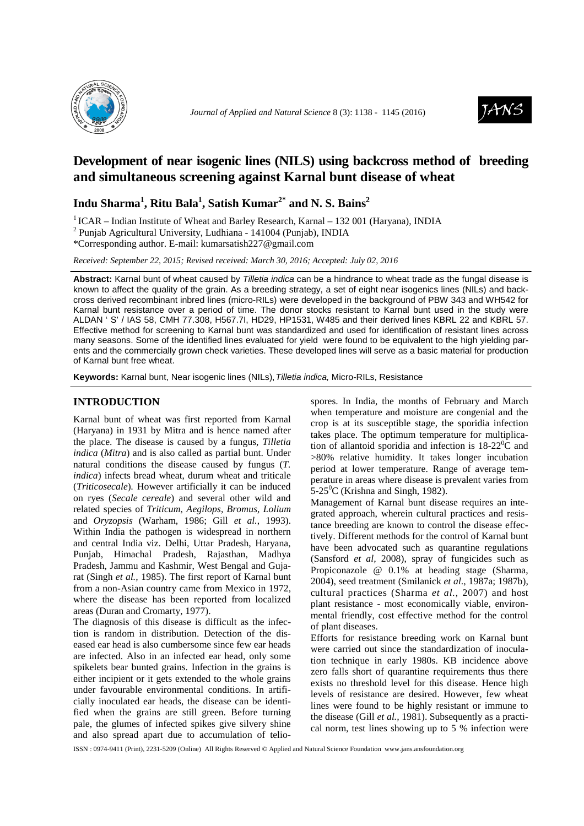



# **Development of near isogenic lines (NILS) using backcross method of breeding and simultaneous screening against Karnal bunt disease of wheat**

## **Indu Sharma<sup>1</sup> , Ritu Bala<sup>1</sup> , Satish Kumar2\* and N. S. Bains<sup>2</sup>**

 $1$ ICAR – Indian Institute of Wheat and Barley Research, Karnal – 132 001 (Haryana), INDIA

<sup>2</sup> Punjab Agricultural University, Ludhiana - 141004 (Punjab), INDIA

\*Corresponding author. E-mail: kumarsatish227@gmail.com

*Received: September 22, 2015; Revised received: March 30, 2016; Accepted: July 02, 2016*

**Abstract:** Karnal bunt of wheat caused by Tilletia indica can be a hindrance to wheat trade as the fungal disease is known to affect the quality of the grain. As a breeding strategy, a set of eight near isogenics lines (NILs) and backcross derived recombinant inbred lines (micro-RILs) were developed in the background of PBW 343 and WH542 for Karnal bunt resistance over a period of time. The donor stocks resistant to Karnal bunt used in the study were ALDAN ' S' / IAS 58, CMH 77.308, H567.7I, HD29, HP1531, W485 and their derived lines KBRL 22 and KBRL 57. Effective method for screening to Karnal bunt was standardized and used for identification of resistant lines across many seasons. Some of the identified lines evaluated for yield were found to be equivalent to the high yielding parents and the commercially grown check varieties. These developed lines will serve as a basic material for production of Karnal bunt free wheat.

**Keywords:** Karnal bunt, Near isogenic lines (NILs), Tilletia indica, Micro-RILs, Resistance

## **INTRODUCTION**

Karnal bunt of wheat was first reported from Karnal (Haryana) in 1931 by Mitra and is hence named after the place. The disease is caused by a fungus, *Tilletia indica* (*Mitra*) and is also called as partial bunt. Under natural conditions the disease caused by fungus (*T. indica*) infects bread wheat, durum wheat and triticale (*Triticosecale*)*.* However artificially it can be induced on ryes (*Secale cereale*) and several other wild and related species of *Triticum*, *Aegilops*, *Bromus*, *Lolium* and *Oryzopsis* (Warham, 1986; Gill *et al.*, 1993). Within India the pathogen is widespread in northern and central India viz. Delhi, Uttar Pradesh, Haryana, Punjab, Himachal Pradesh, Rajasthan, Madhya Pradesh, Jammu and Kashmir, West Bengal and Gujarat (Singh *et al.,* 1985). The first report of Karnal bunt from a non-Asian country came from Mexico in 1972, where the disease has been reported from localized areas (Duran and Cromarty, 1977).

The diagnosis of this disease is difficult as the infection is random in distribution. Detection of the diseased ear head is also cumbersome since few ear heads are infected. Also in an infected ear head, only some spikelets bear bunted grains. Infection in the grains is either incipient or it gets extended to the whole grains under favourable environmental conditions. In artificially inoculated ear heads, the disease can be identified when the grains are still green. Before turning pale, the glumes of infected spikes give silvery shine and also spread apart due to accumulation of telio-

spores. In India, the months of February and March when temperature and moisture are congenial and the crop is at its susceptible stage, the sporidia infection takes place. The optimum temperature for multiplication of allantoid sporidia and infection is  $18-22^{\circ}$ C and >80% relative humidity. It takes longer incubation period at lower temperature. Range of average temperature in areas where disease is prevalent varies from  $5-25^0C$  (Krishna and Singh, 1982).

Management of Karnal bunt disease requires an integrated approach, wherein cultural practices and resistance breeding are known to control the disease effectively. Different methods for the control of Karnal bunt have been advocated such as quarantine regulations (Sansford *et al,* 2008), spray of fungicides such as Propiconazole @ 0.1% at heading stage (Sharma, 2004), seed treatment (Smilanick *et al*., 1987a; 1987b), cultural practices (Sharma *et al.*, 2007) and host plant resistance - most economically viable, environmental friendly, cost effective method for the control of plant diseases.

Efforts for resistance breeding work on Karnal bunt were carried out since the standardization of inoculation technique in early 1980s. KB incidence above zero falls short of quarantine requirements thus there exists no threshold level for this disease. Hence high levels of resistance are desired. However, few wheat lines were found to be highly resistant or immune to the disease (Gill *et al.,* 1981). Subsequently as a practical norm, test lines showing up to 5 % infection were

ISSN : 0974-9411 (Print), 2231-5209 (Online) All Rights Reserved © Applied and Natural Science Foundation www.jans.ansfoundation.org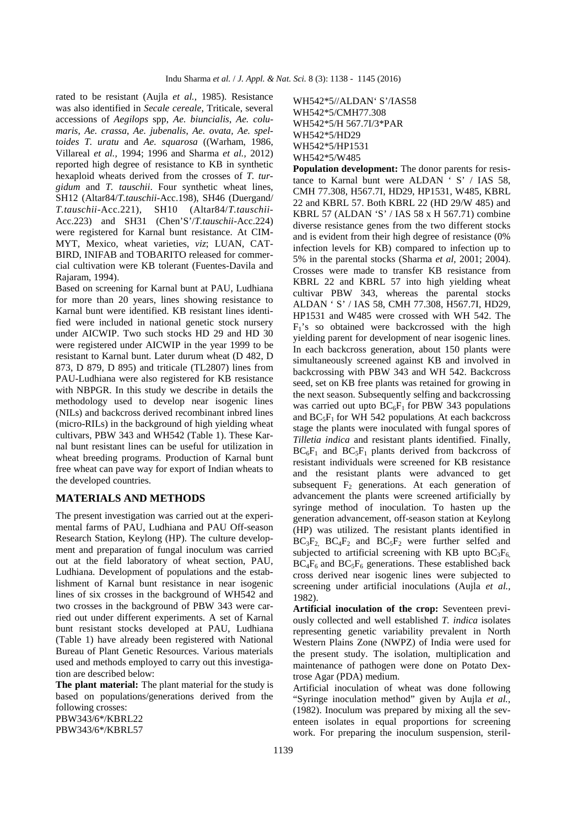rated to be resistant (Aujla *et al.,* 1985). Resistance was also identified in *Secale cereale*, Triticale, several accessions of *Aegilops* spp, *Ae. biuncialis*, *Ae. columaris*, *Ae. crassa*, *Ae. jubenalis*, *Ae. ovata, Ae. speltoides T. uratu* and *Ae. squarosa* ((Warham, 1986, Villareal *et al.,* 1994; 1996 and Sharma *et al.,* 2012) reported high degree of resistance to KB in synthetic hexaploid wheats derived from the crosses of *T. turgidum* and *T. tauschii*. Four synthetic wheat lines, SH12 (Altar84/*T.tauschii*-Acc.198), SH46 (Duergand/ *T.tauschii*-Acc.221), SH10 (Altar84/*T.tauschii*-Acc.223) and SH31 (Chen'S'/*T.tauschii*-Acc.224) were registered for Karnal bunt resistance. At CIM-MYT, Mexico, wheat varieties, *viz*; LUAN, CAT-BIRD, INIFAB and TOBARITO released for commercial cultivation were KB tolerant (Fuentes-Davila and Rajaram, 1994).

Based on screening for Karnal bunt at PAU, Ludhiana for more than 20 years, lines showing resistance to Karnal bunt were identified. KB resistant lines identified were included in national genetic stock nursery under AICWIP. Two such stocks HD 29 and HD 30 were registered under AICWIP in the year 1999 to be resistant to Karnal bunt. Later durum wheat (D 482, D 873, D 879, D 895) and triticale (TL2807) lines from PAU-Ludhiana were also registered for KB resistance with NBPGR. In this study we describe in details the methodology used to develop near isogenic lines (NILs) and backcross derived recombinant inbred lines (micro-RILs) in the background of high yielding wheat cultivars, PBW 343 and WH542 (Table 1). These Karnal bunt resistant lines can be useful for utilization in wheat breeding programs. Production of Karnal bunt free wheat can pave way for export of Indian wheats to the developed countries.

#### **MATERIALS AND METHODS**

The present investigation was carried out at the experimental farms of PAU, Ludhiana and PAU Off-season Research Station, Keylong (HP). The culture development and preparation of fungal inoculum was carried out at the field laboratory of wheat section, PAU, Ludhiana. Development of populations and the establishment of Karnal bunt resistance in near isogenic lines of six crosses in the background of WH542 and two crosses in the background of PBW 343 were carried out under different experiments. A set of Karnal bunt resistant stocks developed at PAU, Ludhiana (Table 1) have already been registered with National Bureau of Plant Genetic Resources. Various materials used and methods employed to carry out this investigation are described below:

**The plant material:** The plant material for the study is based on populations/generations derived from the following crosses: PBW343/6\*/KBRL22

PBW343/6\*/KBRL57

WH542\*5//ALDAN' S'/IAS58 WH542\*5/CMH77.308 WH542\*5/H 567.7I/3\*PAR WH542\*5/HD29 WH542\*5/HP1531 WH542\*5/W485

**Population development:** The donor parents for resistance to Karnal bunt were ALDAN ' S' / IAS 58. CMH 77.308, H567.7I, HD29, HP1531, W485, KBRL 22 and KBRL 57. Both KBRL 22 (HD 29/W 485) and KBRL 57 (ALDAN 'S' / IAS 58 x H 567.71) combine diverse resistance genes from the two different stocks and is evident from their high degree of resistance (0% infection levels for KB) compared to infection up to 5% in the parental stocks (Sharma *et al,* 2001; 2004). Crosses were made to transfer KB resistance from KBRL 22 and KBRL 57 into high yielding wheat cultivar PBW 343, whereas the parental stocks ALDAN ' S' / IAS 58, CMH 77.308, H567.7I, HD29, HP1531 and W485 were crossed with WH 542. The  $F_1$ 's so obtained were backcrossed with the high yielding parent for development of near isogenic lines. In each backcross generation, about 150 plants were simultaneously screened against KB and involved in backcrossing with PBW 343 and WH 542. Backcross seed, set on KB free plants was retained for growing in the next season. Subsequently selfing and backcrossing was carried out upto  $BC_6F_1$  for PBW 343 populations and  $BC_5F_1$  for WH 542 populations. At each backcross stage the plants were inoculated with fungal spores of *Tilletia indica* and resistant plants identified. Finally,  $BC_6F_1$  and  $BC_5F_1$  plants derived from backcross of resistant individuals were screened for KB resistance and the resistant plants were advanced to get subsequent  $F_2$  generations. At each generation of advancement the plants were screened artificially by syringe method of inoculation. To hasten up the generation advancement, off-season station at Keylong (HP) was utilized. The resistant plants identified in  $BC_3F_2$ ,  $BC_4F_2$  and  $BC_5F_2$  were further selfed and subjected to artificial screening with KB upto  $BC_3F_6$ ,  $BC_4F_6$  and  $BC_5F_6$  generations. These established back cross derived near isogenic lines were subjected to screening under artificial inoculations (Aujla *et al.,* 1982).

**Artificial inoculation of the crop:** Seventeen previously collected and well established *T. indica* isolates representing genetic variability prevalent in North Western Plains Zone (NWPZ) of India were used for the present study. The isolation, multiplication and maintenance of pathogen were done on Potato Dextrose Agar (PDA) medium.

Artificial inoculation of wheat was done following "Syringe inoculation method" given by Aujla *et al.,* (1982). Inoculum was prepared by mixing all the seventeen isolates in equal proportions for screening work. For preparing the inoculum suspension, steril-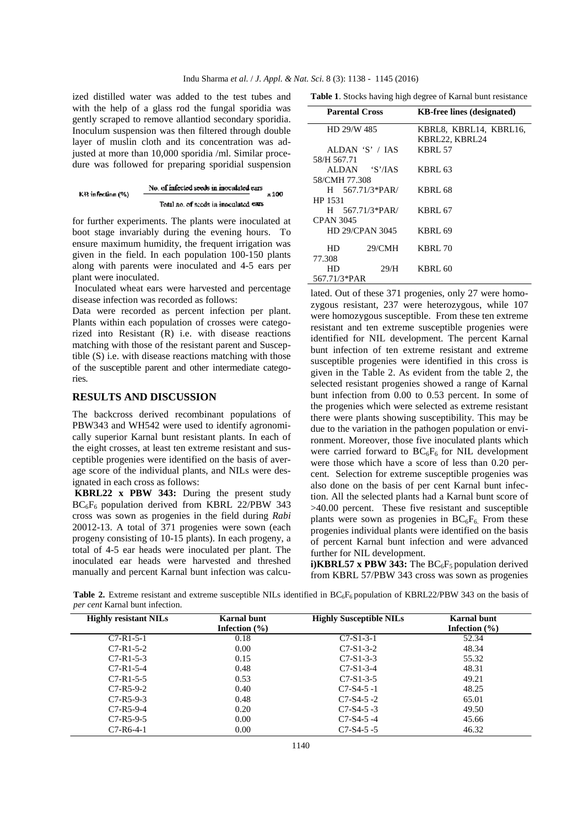ized distilled water was added to the test tubes and with the help of a glass rod the fungal sporidia was gently scraped to remove allantiod secondary sporidia. Inoculum suspension was then filtered through double layer of muslin cloth and its concentration was adjusted at more than 10,000 sporidia /ml. Similar procedure was followed for preparing sporidial suspension

K33 infection (%) 
$$
\frac{N_0 \text{ of infected seeds in inoculated cars}}{Total no. of seeds in inoculated cars}
$$

for further experiments. The plants were inoculated at boot stage invariably during the evening hours. To ensure maximum humidity, the frequent irrigation was given in the field. In each population 100-150 plants along with parents were inoculated and 4-5 ears per plant were inoculated.

Inoculated wheat ears were harvested and percentage disease infection was recorded as follows:

Data were recorded as percent infection per plant. Plants within each population of crosses were categorized into Resistant (R) i.e. with disease reactions matching with those of the resistant parent and Susceptible (S) i.e. with disease reactions matching with those of the susceptible parent and other intermediate categories.

#### **RESULTS AND DISCUSSION**

The backcross derived recombinant populations of PBW343 and WH542 were used to identify agronomically superior Karnal bunt resistant plants. In each of the eight crosses, at least ten extreme resistant and susceptible progenies were identified on the basis of average score of the individual plants, and NILs were designated in each cross as follows:

 **KBRL22 x PBW 343:** During the present study BC6F6 population derived from KBRL 22/PBW 343 cross was sown as progenies in the field during *Rabi* 20012-13. A total of 371 progenies were sown (each progeny consisting of 10-15 plants). In each progeny, a total of 4-5 ear heads were inoculated per plant. The inoculated ear heads were harvested and threshed manually and percent Karnal bunt infection was calcu-

**Table 1**. Stocks having high degree of Karnal bunt resistance

| <b>Parental Cross</b>  | <b>KB-free lines (designated)</b> |
|------------------------|-----------------------------------|
| HD 29/W 485            | KBRL8, KBRL14, KBRL16,            |
|                        | KBRL22, KBRL24                    |
| ALDAN 'S' / IAS        | <b>KBRL 57</b>                    |
| 58/H 567.71            |                                   |
| ALDAN 'S'/IAS          | <b>KBRL 63</b>                    |
| 58/CMH 77.308          |                                   |
| $H = 567.71/3*PAR/$    | <b>KBRL 68</b>                    |
| HP 1531                |                                   |
| $H = 567.71/3*PAR/$    | <b>KBRL 67</b>                    |
| <b>CPAN 3045</b>       |                                   |
| <b>HD 29/CPAN 3045</b> | <b>KBRL 69</b>                    |
|                        |                                   |
| 29/CMH<br>HD           | <b>KBRL 70</b>                    |
| 77.308                 |                                   |
| 29/H<br>HD             | KBRL <sub>60</sub>                |
| 567.71/3*PAR           |                                   |

lated. Out of these 371 progenies, only 27 were homozygous resistant, 237 were heterozygous, while 107 were homozygous susceptible. From these ten extreme resistant and ten extreme susceptible progenies were identified for NIL development. The percent Karnal bunt infection of ten extreme resistant and extreme susceptible progenies were identified in this cross is given in the Table 2. As evident from the table 2, the selected resistant progenies showed a range of Karnal bunt infection from 0.00 to 0.53 percent. In some of the progenies which were selected as extreme resistant there were plants showing susceptibility. This may be due to the variation in the pathogen population or environment. Moreover, those five inoculated plants which were carried forward to  $BC_6F_6$  for NIL development were those which have a score of less than 0.20 percent. Selection for extreme susceptible progenies was also done on the basis of per cent Karnal bunt infection. All the selected plants had a Karnal bunt score of >40.00 percent. These five resistant and susceptible plants were sown as progenies in  $BC_6F_6$ . From these progenies individual plants were identified on the basis of percent Karnal bunt infection and were advanced further for NIL development.

**i)KBRL57 x PBW 343:** The  $BC_6F_5$  population derived from KBRL 57/PBW 343 cross was sown as progenies

**Table 2.** Extreme resistant and extreme susceptible NILs identified in BC<sub>6</sub>F<sub>6</sub> population of KBRL22/PBW 343 on the basis of *per cent* Karnal bunt infection.

| <b>Highly resistant NILs</b> | <b>Karnal bunt</b> | <b>Highly Susceptible NILs</b> | <b>Karnal bunt</b> |
|------------------------------|--------------------|--------------------------------|--------------------|
|                              | Infection $(\% )$  |                                | Infection $(\% )$  |
| $C7 - R1 - 5 - 1$            | 0.18               | $C7-S1-3-1$                    | 52.34              |
| $C7 - R1 - 5 - 2$            | 0.00               | $C7-S1-3-2$                    | 48.34              |
| $C7 - R1 - 5 - 3$            | 0.15               | $C7-S1-3-3$                    | 55.32              |
| $C7 - R1 - 5 - 4$            | 0.48               | $C7-S1-3-4$                    | 48.31              |
| $C7 - R1 - 5 - 5$            | 0.53               | $C7-S1-3-5$                    | 49.21              |
| $C7-R5-9-2$                  | 0.40               | $C7-S4-5-1$                    | 48.25              |
| $C7-R5-9-3$                  | 0.48               | $C7-S4-5-2$                    | 65.01              |
| $C7-R5-9-4$                  | 0.20               | $C7-S4-5-3$                    | 49.50              |
| $C7-R5-9-5$                  | 0.00               | $C7-S4-5-4$                    | 45.66              |
| $C7-R6-4-1$                  | 0.00               | $C7-S4-5-5$                    | 46.32              |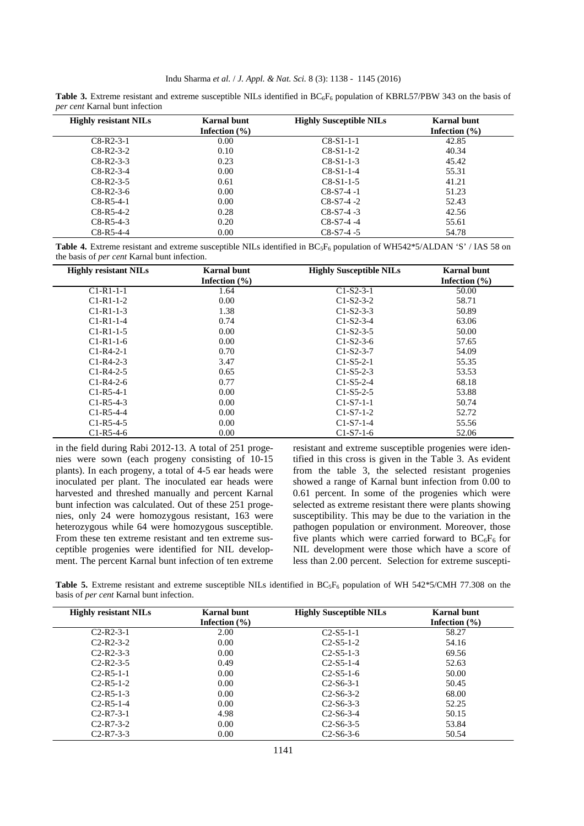| <b>Table 3.</b> Extreme resistant and extreme susceptible NILs identified in $BC_6F_6$ population of KBRL57/PBW 343 on the basis of |  |
|-------------------------------------------------------------------------------------------------------------------------------------|--|
| <i>per cent</i> Karnal bunt infection                                                                                               |  |

| <b>Highly resistant NILs</b> | <b>Karnal bunt</b><br>Infection $(\% )$ | <b>Highly Susceptible NILs</b> | Karnal bunt<br>Infection $(\% )$ |
|------------------------------|-----------------------------------------|--------------------------------|----------------------------------|
|                              |                                         |                                |                                  |
| $C8-R2-3-1$                  | 0.00                                    | $C8-S1-1-1$                    | 42.85                            |
| $C8-R2-3-2$                  | 0.10                                    | $C8-S1-1-2$                    | 40.34                            |
| $C8-R2-3-3$                  | 0.23                                    | $C8-S1-1-3$                    | 45.42                            |
| $C8-R2-3-4$                  | 0.00                                    | $C8-S1-1-4$                    | 55.31                            |
| $C8-R2-3-5$                  | 0.61                                    | $C8-S1-1-5$                    | 41.21                            |
| $C8-R2-3-6$                  | 0.00                                    | $C8-S7-4-1$                    | 51.23                            |
| $C8-R5-4-1$                  | 0.00                                    | $C8-S7-4-2$                    | 52.43                            |
| $C8-R5-4-2$                  | 0.28                                    | $C8-S7-4-3$                    | 42.56                            |
| $C8-R5-4-3$                  | 0.20                                    | $C8-S7-4-4$                    | 55.61                            |
| $C8-R5-4-4$                  | 0.00                                    | $C8-S7-4-5$                    | 54.78                            |

**Table 4.** Extreme resistant and extreme susceptible NILs identified in BC<sub>5</sub>F<sub>6</sub> population of WH542\*5/ALDAN 'S' / IAS 58 on the basis of *per cent* Karnal bunt infection.

| <b>Highly resistant NILs</b> | <b>Karnal bunt</b> | <b>Highly Susceptible NILs</b> | Karnal bunt       |
|------------------------------|--------------------|--------------------------------|-------------------|
|                              | Infection $(\% )$  |                                | Infection $(\% )$ |
| $C1 - R1 - 1 - 1$            | 1.64               | $C1-S2-3-1$                    | 50.00             |
| $C1 - R1 - 1 - 2$            | 0.00               | $C1-S2-3-2$                    | 58.71             |
| $C1 - R1 - 1 - 3$            | 1.38               | $C1-S2-3-3$                    | 50.89             |
| $C1 - R1 - 1 - 4$            | 0.74               | $C1-S2-3-4$                    | 63.06             |
| $C1 - R1 - 1 - 5$            | 0.00               | $C1-S2-3-5$                    | 50.00             |
| $C1 - R1 - 1 - 6$            | 0.00               | $C1-S2-3-6$                    | 57.65             |
| $C1-R4-2-1$                  | 0.70               | $C1-S2-3-7$                    | 54.09             |
| $C1-R4-2-3$                  | 3.47               | $C1-S5-2-1$                    | 55.35             |
| $C1-R4-2-5$                  | 0.65               | $C1-S5-2-3$                    | 53.53             |
| $C1-R4-2-6$                  | 0.77               | $C1-S5-2-4$                    | 68.18             |
| $C1-R5-4-1$                  | 0.00               | $C1-S5-2-5$                    | 53.88             |
| $C1-R5-4-3$                  | 0.00               | $C1-S7-1-1$                    | 50.74             |
| $C1-R5-4-4$                  | 0.00               | $C1-S7-1-2$                    | 52.72             |
| $C1-R5-4-5$                  | 0.00               | $C1-S7-1-4$                    | 55.56             |
| $C1-R5-4-6$                  | 0.00               | $C1-S7-1-6$                    | 52.06             |

in the field during Rabi 2012-13. A total of 251 progenies were sown (each progeny consisting of 10-15 plants). In each progeny, a total of 4-5 ear heads were inoculated per plant. The inoculated ear heads were harvested and threshed manually and percent Karnal bunt infection was calculated. Out of these 251 progenies, only 24 were homozygous resistant, 163 were heterozygous while 64 were homozygous susceptible. From these ten extreme resistant and ten extreme susceptible progenies were identified for NIL development. The percent Karnal bunt infection of ten extreme

resistant and extreme susceptible progenies were identified in this cross is given in the Table 3. As evident from the table 3, the selected resistant progenies showed a range of Karnal bunt infection from 0.00 to 0.61 percent. In some of the progenies which were selected as extreme resistant there were plants showing susceptibility. This may be due to the variation in the pathogen population or environment. Moreover, those five plants which were carried forward to  $BC_6F_6$  for NIL development were those which have a score of less than 2.00 percent. Selection for extreme suscepti-

Table 5. Extreme resistant and extreme susceptible NILs identified in BC<sub>5</sub>F<sub>6</sub> population of WH 542\*5/CMH 77.308 on the basis of *per cent* Karnal bunt infection.

| <b>Highly resistant NILs</b> | <b>Karnal bunt</b> | <b>Highly Susceptible NILs</b> | Karnal bunt       |
|------------------------------|--------------------|--------------------------------|-------------------|
|                              | Infection $(\% )$  |                                | Infection $(\% )$ |
| $C2-R2-3-1$                  | 2.00               | $C2-S5-1-1$                    | 58.27             |
| $C2-R2-3-2$                  | 0.00               | $C2-S5-1-2$                    | 54.16             |
| $C2-R2-3-3$                  | 0.00               | $C2-S5-1-3$                    | 69.56             |
| $C2-R2-3-5$                  | 0.49               | $C2-S5-1-4$                    | 52.63             |
| $C2-R5-1-1$                  | 0.00               | $C2-S5-1-6$                    | 50.00             |
| $C2-R5-1-2$                  | 0.00               | $C2-S6-3-1$                    | 50.45             |
| $C2-R5-1-3$                  | 0.00               | $C2-S6-3-2$                    | 68.00             |
| $C2-R5-1-4$                  | 0.00               | $C2-S6-3-3$                    | 52.25             |
| $C2-R7-3-1$                  | 4.98               | $C2-S6-3-4$                    | 50.15             |
| $C2-R7-3-2$                  | 0.00               | $C2-S6-3-5$                    | 53.84             |
| $C2-R7-3-3$                  | 0.00               | $C2 - S6 - 3 - 6$              | 50.54             |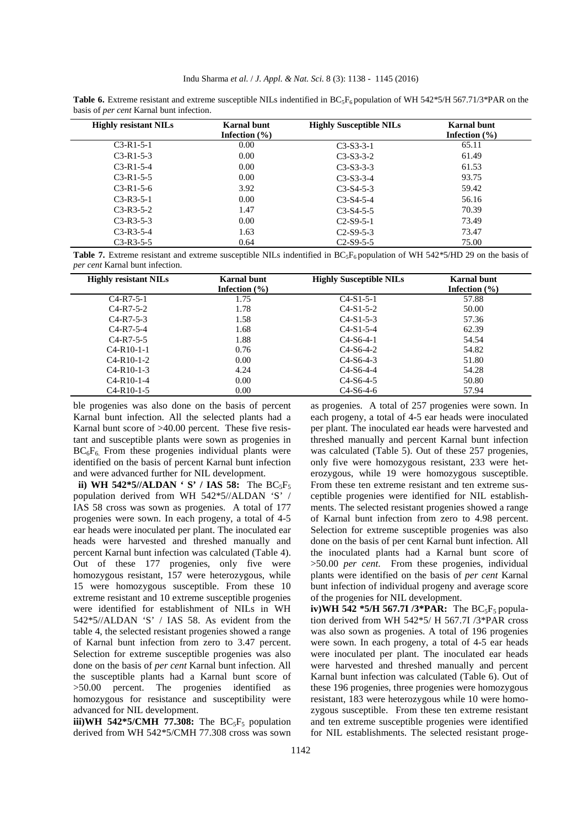| <b>Highly resistant NILs</b> | Karnal bunt<br>Infection $(\% )$ | <b>Highly Susceptible NILs</b> | Karnal bunt<br>Infection $(\% )$ |
|------------------------------|----------------------------------|--------------------------------|----------------------------------|
| $C3-R1-5-1$                  | 0.00                             | $C3-S3-3-1$                    | 65.11                            |
| $C3-R1-5-3$                  | 0.00                             | $C3 - S3 - 3 - 2$              | 61.49                            |
| $C3-R1-5-4$                  | 0.00                             | $C3-S3-3-3$                    | 61.53                            |
| $C3-R1-5-5$                  | 0.00                             | $C3-S3-3-4$                    | 93.75                            |
| $C3-R1-5-6$                  | 3.92                             | $C3-S4-5-3$                    | 59.42                            |
| $C3-R3-5-1$                  | 0.00                             | $C3-S4-5-4$                    | 56.16                            |
| $C3-R3-5-2$                  | 1.47                             | $C3-S4-5-5$                    | 70.39                            |
| $C3-R3-5-3$                  | 0.00                             | $C2-S9-5-1$                    | 73.49                            |
| $C3-R3-5-4$                  | 1.63                             | $C2-S9-5-3$                    | 73.47                            |
| $C3-R3-5-5$                  | 0.64                             | $C2-S9-5-5$                    | 75.00                            |

**Table 6.** Extreme resistant and extreme susceptible NILs indentified in BC<sub>5</sub>F<sub>6</sub> population of WH 542\*5/H 567.71/3\*PAR on the basis of *per cent* Karnal bunt infection.

Table 7. Extreme resistant and extreme susceptible NILs indentified in BC<sub>5</sub>F<sub>6</sub> population of WH 542\*5/HD 29 on the basis of *per cent* Karnal bunt infection.

| <b>Highly resistant NILs</b> | <b>Karnal bunt</b> | <b>Highly Susceptible NILs</b> | Karnal bunt       |
|------------------------------|--------------------|--------------------------------|-------------------|
|                              | Infection $(\% )$  |                                | Infection $(\% )$ |
| $C4-R7-5-1$                  | 1.75               | $C4-S1-5-1$                    | 57.88             |
| $C4-R7-5-2$                  | 1.78               | $C4-S1-5-2$                    | 50.00             |
| $C4-R7-5-3$                  | 1.58               | $C4-S1-5-3$                    | 57.36             |
| $C4-R7-5-4$                  | 1.68               | $C4-S1-5-4$                    | 62.39             |
| $C4-R7-5-5$                  | 1.88               | $C4-S6-4-1$                    | 54.54             |
| $C4 - R10 - 1 - 1$           | 0.76               | $C4-S6-4-2$                    | 54.82             |
| $C4 - R10 - 1 - 2$           | 0.00               | $C4-S6-4-3$                    | 51.80             |
| $C4 - R10 - 1 - 3$           | 4.24               | $C4-S6-4-4$                    | 54.28             |
| $C4 - R10 - 1 - 4$           | 0.00               | $C4-S6-4-5$                    | 50.80             |
| $C4-R10-1-5$                 | 0.00               | $C4-S6-4-6$                    | 57.94             |

ble progenies was also done on the basis of percent Karnal bunt infection. All the selected plants had a Karnal bunt score of >40.00 percent. These five resistant and susceptible plants were sown as progenies in  $BC_6F_6$ . From these progenies individual plants were identified on the basis of percent Karnal bunt infection and were advanced further for NIL development.

**ii) WH 542\*5//ALDAN ' S' / IAS 58:** The  $BC_5F_5$ population derived from WH 542\*5//ALDAN 'S' / IAS 58 cross was sown as progenies. A total of 177 progenies were sown. In each progeny, a total of 4-5 ear heads were inoculated per plant. The inoculated ear heads were harvested and threshed manually and percent Karnal bunt infection was calculated (Table 4). Out of these 177 progenies, only five were homozygous resistant, 157 were heterozygous, while 15 were homozygous susceptible. From these 10 extreme resistant and 10 extreme susceptible progenies were identified for establishment of NILs in WH 542\*5//ALDAN 'S' / IAS 58. As evident from the table 4, the selected resistant progenies showed a range of Karnal bunt infection from zero to 3.47 percent. Selection for extreme susceptible progenies was also done on the basis of *per cent* Karnal bunt infection. All the susceptible plants had a Karnal bunt score of >50.00 percent. The progenies identified as homozygous for resistance and susceptibility were advanced for NIL development.

**iii**)WH 542\*5/CMH 77.308: The  $BC_5F_5$  population derived from WH 542\*5/CMH 77.308 cross was sown

as progenies. A total of 257 progenies were sown. In each progeny, a total of 4-5 ear heads were inoculated per plant. The inoculated ear heads were harvested and threshed manually and percent Karnal bunt infection was calculated (Table 5). Out of these 257 progenies, only five were homozygous resistant, 233 were heterozygous, while 19 were homozygous susceptible. From these ten extreme resistant and ten extreme susceptible progenies were identified for NIL establishments. The selected resistant progenies showed a range of Karnal bunt infection from zero to 4.98 percent. Selection for extreme susceptible progenies was also done on the basis of per cent Karnal bunt infection. All the inoculated plants had a Karnal bunt score of >50.00 *per cent*. From these progenies, individual plants were identified on the basis of *per cent* Karnal bunt infection of individual progeny and average score of the progenies for NIL development.

 $iv)$ WH 542  $*5/H$  567.7I /3 $*PAR$ : The BC<sub>5</sub>F<sub>5</sub> population derived from WH 542\*5/ H 567.7I /3\*PAR cross was also sown as progenies. A total of 196 progenies were sown. In each progeny, a total of 4-5 ear heads were inoculated per plant. The inoculated ear heads were harvested and threshed manually and percent Karnal bunt infection was calculated (Table 6). Out of these 196 progenies, three progenies were homozygous resistant, 183 were heterozygous while 10 were homozygous susceptible. From these ten extreme resistant and ten extreme susceptible progenies were identified for NIL establishments. The selected resistant proge-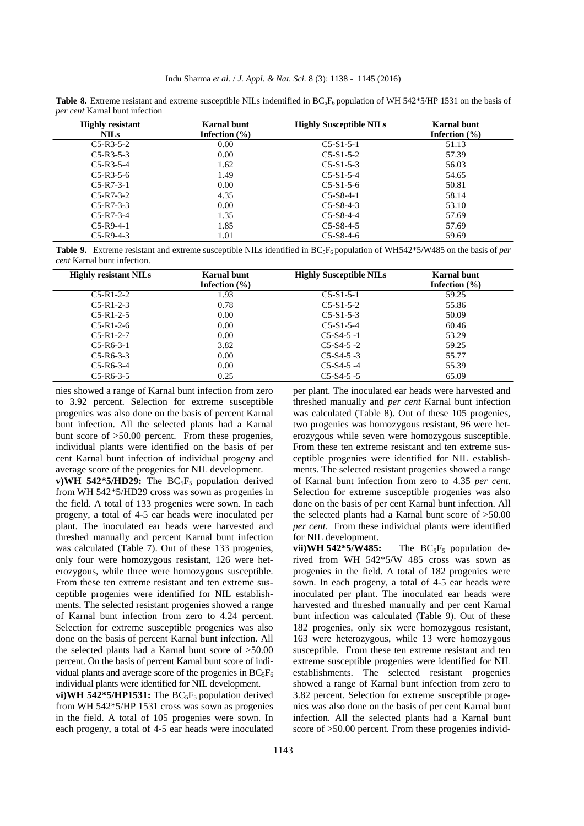| <b>Table 8.</b> Extreme resistant and extreme susceptible NILs indentified in $BC_5F_6$ population of WH 542*5/HP 1531 on the basis of |  |
|----------------------------------------------------------------------------------------------------------------------------------------|--|
| <i>per cent</i> Karnal bunt infection                                                                                                  |  |

| <b>Highly resistant</b> | <b>Karnal bunt</b> | <b>Highly Susceptible NILs</b> | <b>Karnal bunt</b> |
|-------------------------|--------------------|--------------------------------|--------------------|
| <b>NILS</b>             | Infection $(\% )$  |                                | Infection $(\% )$  |
| $C5-R3-5-2$             | 0.00               | $C5-S1-5-1$                    | 51.13              |
| $C5-R3-5-3$             | 0.00               | $C5-S1-5-2$                    | 57.39              |
| $C5-R3-5-4$             | 1.62               | $C5-S1-5-3$                    | 56.03              |
| $C5-R3-5-6$             | 1.49               | $C5-S1-5-4$                    | 54.65              |
| $C5-R7-3-1$             | 0.00               | $C5-S1-5-6$                    | 50.81              |
| $C5-R7-3-2$             | 4.35               | $C5-S8-4-1$                    | 58.14              |
| $C5-R7-3-3$             | 0.00               | $C5-S8-4-3$                    | 53.10              |
| $C5-R7-3-4$             | 1.35               | $C5-S8-4-4$                    | 57.69              |
| $C5-R9-4-1$             | 1.85               | $C5-S8-4-5$                    | 57.69              |
| $C5-R9-4-3$             | 1.01               | $C5-S8-4-6$                    | 59.69              |

**Table 9.** Extreme resistant and extreme susceptible NILs identified in BC<sub>5</sub>F<sub>6</sub> population of WH542\*5/W485 on the basis of *per cent* Karnal bunt infection.

| <b>Highly resistant NILs</b> | <b>Karnal bunt</b> | <b>Highly Susceptible NILs</b> | <b>Karnal bunt</b> |
|------------------------------|--------------------|--------------------------------|--------------------|
|                              | Infection $(\% )$  |                                | Infection $(\% )$  |
| $C_{5-R1-2-2}$               | 1.93               | $C5-S1-5-1$                    | 59.25              |
| $C5-R1-2-3$                  | 0.78               | $C5-S1-5-2$                    | 55.86              |
| $C5-R1-2-5$                  | 0.00               | $C_{5-S1-5-3}$                 | 50.09              |
| $C5-R1-2-6$                  | 0.00               | $C5-S1-5-4$                    | 60.46              |
| $C5-R1-2-7$                  | 0.00               | $C5-S4-5-1$                    | 53.29              |
| $C5-R6-3-1$                  | 3.82               | $C5-S4-5-2$                    | 59.25              |
| $C5-R6-3-3$                  | 0.00               | $C5-S4-5-3$                    | 55.77              |
| $C5-R6-3-4$                  | 0.00               | $C5-S4-5-4$                    | 55.39              |
| $C5-R6-3-5$                  | 0.25               | $C5-S4-5-5$                    | 65.09              |

nies showed a range of Karnal bunt infection from zero to 3.92 percent. Selection for extreme susceptible progenies was also done on the basis of percent Karnal bunt infection. All the selected plants had a Karnal bunt score of >50.00 percent. From these progenies, individual plants were identified on the basis of per cent Karnal bunt infection of individual progeny and average score of the progenies for NIL development.

**v)WH 542\*5/HD29:** The  $BC_5F_5$  population derived from WH 542\*5/HD29 cross was sown as progenies in the field. A total of 133 progenies were sown. In each progeny, a total of 4-5 ear heads were inoculated per plant. The inoculated ear heads were harvested and threshed manually and percent Karnal bunt infection was calculated (Table 7). Out of these 133 progenies, only four were homozygous resistant, 126 were heterozygous, while three were homozygous susceptible. From these ten extreme resistant and ten extreme susceptible progenies were identified for NIL establishments. The selected resistant progenies showed a range of Karnal bunt infection from zero to 4.24 percent. Selection for extreme susceptible progenies was also done on the basis of percent Karnal bunt infection. All the selected plants had a Karnal bunt score of >50.00 percent. On the basis of percent Karnal bunt score of individual plants and average score of the progenies in  $BC_5F_6$ individual plants were identified for NIL development.

**vi)WH 542\*5/HP1531:** The  $BC_5F_5$  population derived from WH 542\*5/HP 1531 cross was sown as progenies in the field. A total of 105 progenies were sown. In each progeny, a total of 4-5 ear heads were inoculated per plant. The inoculated ear heads were harvested and threshed manually and *per cent* Karnal bunt infection was calculated (Table 8). Out of these 105 progenies, two progenies was homozygous resistant, 96 were heterozygous while seven were homozygous susceptible. From these ten extreme resistant and ten extreme susceptible progenies were identified for NIL establishments. The selected resistant progenies showed a range of Karnal bunt infection from zero to 4.35 *per cent*. Selection for extreme susceptible progenies was also done on the basis of per cent Karnal bunt infection. All the selected plants had a Karnal bunt score of >50.00 *per cent*. From these individual plants were identified for NIL development.

**vii)WH 542\*5/W485:** The  $BC_5F_5$  population derived from WH 542\*5/W 485 cross was sown as progenies in the field. A total of 182 progenies were sown. In each progeny, a total of 4-5 ear heads were inoculated per plant. The inoculated ear heads were harvested and threshed manually and per cent Karnal bunt infection was calculated (Table 9). Out of these 182 progenies, only six were homozygous resistant, 163 were heterozygous, while 13 were homozygous susceptible. From these ten extreme resistant and ten extreme susceptible progenies were identified for NIL establishments. The selected resistant progenies showed a range of Karnal bunt infection from zero to 3.82 percent. Selection for extreme susceptible progenies was also done on the basis of per cent Karnal bunt infection. All the selected plants had a Karnal bunt score of >50.00 percent*.* From these progenies individ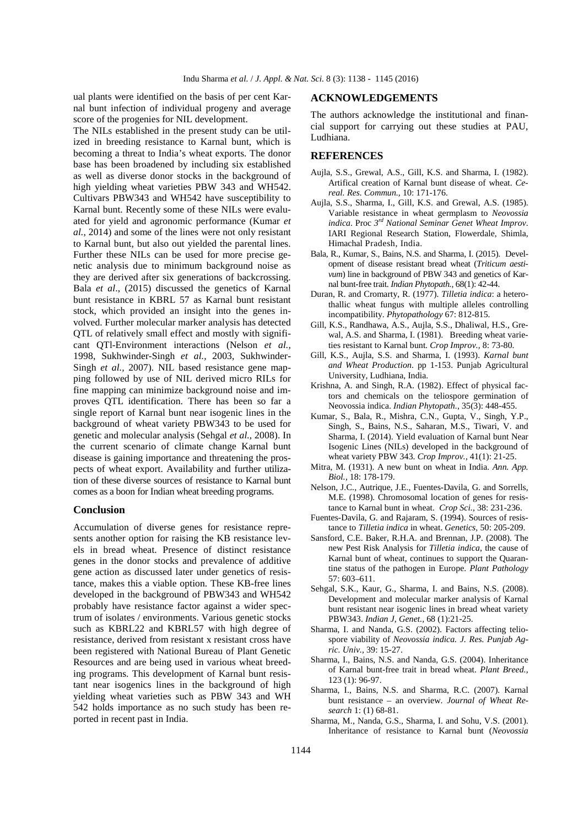ual plants were identified on the basis of per cent Karnal bunt infection of individual progeny and average score of the progenies for NIL development.

The NILs established in the present study can be utilized in breeding resistance to Karnal bunt, which is becoming a threat to India's wheat exports. The donor base has been broadened by including six established as well as diverse donor stocks in the background of high yielding wheat varieties PBW 343 and WH542. Cultivars PBW343 and WH542 have susceptibility to Karnal bunt. Recently some of these NILs were evaluated for yield and agronomic performance (Kumar *et al.*, 2014) and some of the lines were not only resistant to Karnal bunt, but also out yielded the parental lines. Further these NILs can be used for more precise genetic analysis due to minimum background noise as they are derived after six generations of backcrossing. Bala *et al*., (2015) discussed the genetics of Karnal bunt resistance in KBRL 57 as Karnal bunt resistant stock, which provided an insight into the genes involved. Further molecular marker analysis has detected QTL of relatively small effect and mostly with significant QTl-Environment interactions (Nelson *et al.,* 1998, Sukhwinder-Singh *et al.,* 2003, Sukhwinder-Singh *et al.,* 2007). NIL based resistance gene mapping followed by use of NIL derived micro RILs for fine mapping can minimize background noise and improves QTL identification. There has been so far a single report of Karnal bunt near isogenic lines in the background of wheat variety PBW343 to be used for genetic and molecular analysis (Sehgal *et al.,* 2008). In the current scenario of climate change Karnal bunt disease is gaining importance and threatening the prospects of wheat export. Availability and further utilization of these diverse sources of resistance to Karnal bunt comes as a boon for Indian wheat breeding programs.

### **Conclusion**

Accumulation of diverse genes for resistance represents another option for raising the KB resistance levels in bread wheat. Presence of distinct resistance genes in the donor stocks and prevalence of additive gene action as discussed later under genetics of resistance, makes this a viable option. These KB-free lines developed in the background of PBW343 and WH542 probably have resistance factor against a wider spectrum of isolates / environments. Various genetic stocks such as KBRL22 and KBRL57 with high degree of resistance, derived from resistant x resistant cross have been registered with National Bureau of Plant Genetic Resources and are being used in various wheat breeding programs. This development of Karnal bunt resistant near isogenics lines in the background of high yielding wheat varieties such as PBW 343 and WH 542 holds importance as no such study has been reported in recent past in India.

#### **ACKNOWLEDGEMENTS**

The authors acknowledge the institutional and financial support for carrying out these studies at PAU, Ludhiana.

## **REFERENCES**

- Aujla, S.S., Grewal, A.S., Gill, K.S. and Sharma, I. (1982). Artifical creation of Karnal bunt disease of wheat. *Cereal. Res. Commun.,* 10: 171-176.
- Aujla, S.S., Sharma, I., Gill, K.S. and Grewal, A.S. (1985). Variable resistance in wheat germplasm to *Neovossia indica*. Proc *3 rd National Seminar Genet Wheat Improv*. IARI Regional Research Station, Flowerdale, Shimla, Himachal Pradesh, India.
- Bala, R., Kumar, S., Bains, N.S. and Sharma, I. (2015). Development of disease resistant bread wheat (*Triticum aestivum*) line in background of PBW 343 and genetics of Karnal bunt-free trait. *Indian Phytopath.,* 68(1): 42-44.
- Duran, R. and Cromarty, R. (1977). *Tilletia indica*: a heterothallic wheat fungus with multiple alleles controlling incompatibility. *Phytopathology* 67: 812-815.
- Gill, K.S., Randhawa, A.S., Aujla, S.S., Dhaliwal, H.S., Grewal, A.S. and Sharma, I. (1981). Breeding wheat varieties resistant to Karnal bunt*. Crop Improv.,* 8: 73-80.
- Gill, K.S., Aujla, S.S. and Sharma, I. (1993). *Karnal bunt and Wheat Production*. pp 1-153. Punjab Agricultural University, Ludhiana, India.
- Krishna, A. and Singh, R.A. (1982). Effect of physical factors and chemicals on the teliospore germination of Neovossia indica. *Indian Phytopath.,* 35(3): 448-455.
- Kumar, S., Bala, R., Mishra, C.N., Gupta, V., Singh, Y.P., Singh, S., Bains, N.S., Saharan, M.S., Tiwari, V. and Sharma, I. (2014). Yield evaluation of Karnal bunt Near Isogenic Lines (NILs) developed in the background of wheat variety PBW 343. *Crop Improv.,* 41(1): 21-25.
- Mitra, M. (1931). A new bunt on wheat in India. *Ann. App. Biol.,* 18: 178-179.
- Nelson, J.C., Autrique, J.E., Fuentes-Davila, G. and Sorrells, M.E. (1998). Chromosomal location of genes for resistance to Karnal bunt in wheat. *Crop Sci.,* 38: 231-236.
- Fuentes-Davila, G. and Rajaram, S. (1994). Sources of resistance to *Tilletia indica* in wheat. *Genetics,* 50: 205-209.
- Sansford, C.E. Baker, R.H.A. and Brennan, J.P*.* (2008). The new Pest Risk Analysis for *Tilletia indica*, the cause of Karnal bunt of wheat, continues to support the Quarantine status of the pathogen in Europe. *Plant Pathology*  57: 603–611.
- Sehgal, S.K., Kaur, G., Sharma, I. and Bains, N.S. (2008). Development and molecular marker analysis of Karnal bunt resistant near isogenic lines in bread wheat variety PBW343. *Indian J, Genet.,* 68 (1):21-25.
- Sharma, I. and Nanda, G.S. (2002). Factors affecting teliospore viability of *Neovossia indica. J. Res. Punjab Agric. Univ.,* 39: 15-27.
- Sharma, I., Bains, N.S. and Nanda, G.S. (2004). Inheritance of Karnal bunt-free trait in bread wheat. *Plant Breed.,* 123 (1): 96-97.
- Sharma, I., Bains, N.S. and Sharma, R.C. (2007). Karnal bunt resistance – an overview. *Journal of Wheat Research* 1: (1) 68-81.
- Sharma, M., Nanda, G.S., Sharma, I. and Sohu, V.S. (2001). Inheritance of resistance to Karnal bunt (*Neovossia*